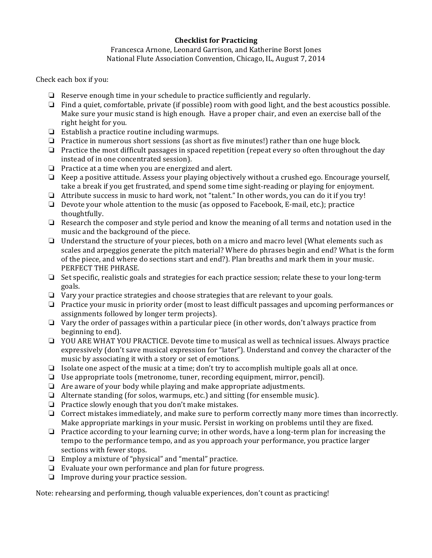### **Checklist for Practicing**

### Francesca Arnone, Leonard Garrison, and Katherine Borst Jones National Flute Association Convention, Chicago, IL, August 7, 2014

### Check each box if you:

- $\Box$  Reserve enough time in your schedule to practice sufficiently and regularly.
- $\Box$  Find a quiet, comfortable, private (if possible) room with good light, and the best acoustics possible. Make sure your music stand is high enough. Have a proper chair, and even an exercise ball of the right height for you.
- $\Box$  Establish a practice routine including warmups.
- $\Box$  Practice in numerous short sessions (as short as five minutes!) rather than one huge block.
- $\Box$  Practice the most difficult passages in spaced repetition (repeat every so often throughout the day instead of in one concentrated session).
- $\Box$  Practice at a time when you are energized and alert.
- $\Box$  Keep a positive attitude. Assess your playing objectively without a crushed ego. Encourage yourself, take a break if you get frustrated, and spend some time sight-reading or playing for enjoyment.
- □ Attribute success in music to hard work, not "talent." In other words, you can do it if you try!
- $\Box$  Devote your whole attention to the music (as opposed to Facebook, E-mail, etc.); practice thoughtfully.
- $\Box$  Research the composer and style period and know the meaning of all terms and notation used in the music and the background of the piece.
- $\Box$  Understand the structure of your pieces, both on a micro and macro level (What elements such as scales and arpeggios generate the pitch material? Where do phrases begin and end? What is the form of the piece, and where do sections start and end?). Plan breaths and mark them in your music. PERFECT THE PHRASE.
- $\Box$  Set specific, realistic goals and strategies for each practice session; relate these to your long-term goals.
- $\Box$  Vary your practice strategies and choose strategies that are relevant to your goals.
- $\Box$  Practice your music in priority order (most to least difficult passages and upcoming performances or assignments followed by longer term projects).
- $\Box$  Vary the order of passages within a particular piece (in other words, don't always practice from beginning to end).
- □ YOU ARE WHAT YOU PRACTICE. Devote time to musical as well as technical issues. Always practice expressively (don't save musical expression for "later"). Understand and convey the character of the music by associating it with a story or set of emotions.
- □ Isolate one aspect of the music at a time; don't try to accomplish multiple goals all at once.
- $\Box$  Use appropriate tools (metronome, tuner, recording equipment, mirror, pencil).
- $\Box$  Are aware of your body while playing and make appropriate adjustments.
- $\Box$  Alternate standing (for solos, warmups, etc.) and sitting (for ensemble music).
- $\Box$  Practice slowly enough that you don't make mistakes.
- $\Box$  Correct mistakes immediately, and make sure to perform correctly many more times than incorrectly. Make appropriate markings in your music. Persist in working on problems until they are fixed.
- $\Box$  Practice according to your learning curve; in other words, have a long-term plan for increasing the tempo to the performance tempo, and as you approach your performance, you practice larger sections with fewer stops.
- $\Box$  Employ a mixture of "physical" and "mental" practice.
- $\Box$  Evaluate your own performance and plan for future progress.
- $\Box$  Improve during your practice session.

Note: rehearsing and performing, though valuable experiences, don't count as practicing!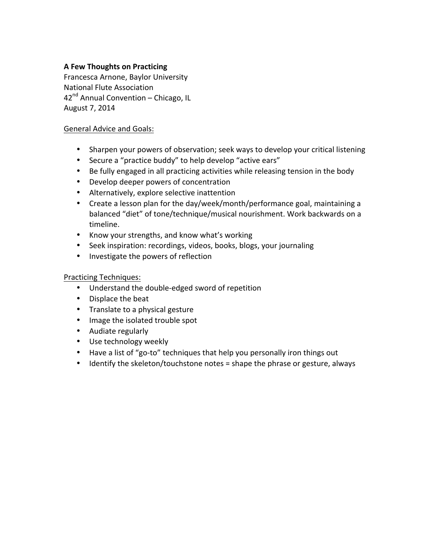## **A Few Thoughts on Practicing**

Francesca Arnone, Baylor University National Flute Association  $42<sup>nd</sup>$  Annual Convention – Chicago, IL August 7, 2014

### General Advice and Goals:

- Sharpen your powers of observation; seek ways to develop your critical listening
- Secure a "practice buddy" to help develop "active ears"
- Be fully engaged in all practicing activities while releasing tension in the body
- Develop deeper powers of concentration
- Alternatively, explore selective inattention
- Create a lesson plan for the day/week/month/performance goal, maintaining a balanced "diet" of tone/technique/musical nourishment. Work backwards on a timeline.
- Know your strengths, and know what's working
- Seek inspiration: recordings, videos, books, blogs, your journaling
- Investigate the powers of reflection

## Practicing Techniques:

- Understand the double-edged sword of repetition
- Displace the beat
- Translate to a physical gesture
- Image the isolated trouble spot
- Audiate regularly
- Use technology weekly
- Have a list of "go-to" techniques that help you personally iron things out
- Identify the skeleton/touchstone notes = shape the phrase or gesture, always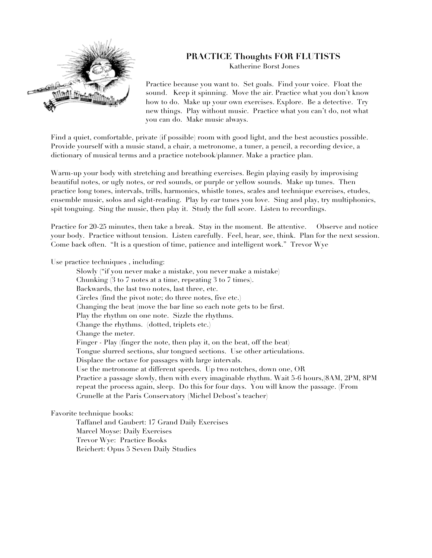

# **PRACTICE Thoughts FOR FLUTISTS**

Katherine Borst Jones

Practice because you want to. Set goals. Find your voice. Float the sound. Keep it spinning. Move the air. Practice what you don't know how to do. Make up your own exercises. Explore. Be a detective. Try new things. Play without music. Practice what you can't do, not what you can do. Make music always.

Find a quiet, comfortable, private (if possible) room with good light, and the best acoustics possible. Provide yourself with a music stand, a chair, a metronome, a tuner, a pencil, a recording device, a dictionary of musical terms and a practice notebook/planner. Make a practice plan.

Warm-up your body with stretching and breathing exercises. Begin playing easily by improvising beautiful notes, or ugly notes, or red sounds, or purple or yellow sounds. Make up tunes. Then practice long tones, intervals, trills, harmonics, whistle tones, scales and technique exercises, etudes, ensemble music, solos and sight-reading. Play by ear tunes you love. Sing and play, try multiphonics, spit tonguing. Sing the music, then play it. Study the full score. Listen to recordings.

Practice for 20-25 minutes, then take a break. Stay in the moment. Be attentive. Observe and notice your body. Practice without tension. Listen carefully. Feel, hear, see, think. Plan for the next session. Come back often. "It is a question of time, patience and intelligent work." Trevor Wye

Use practice techniques , including:

Slowly ("if you never make a mistake, you never make a mistake) Chunking (3 to 7 notes at a time, repeating 3 to 7 times). Backwards, the last two notes, last three, etc. Circles (find the pivot note; do three notes, five etc.) Changing the beat (move the bar line so each note gets to be first. Play the rhythm on one note. Sizzle the rhythms. Change the rhythms. (dotted, triplets etc.) Change the meter. Finger - Play (finger the note, then play it, on the beat, off the beat) Tongue slurred sections, slur tongued sections. Use other articulations. Displace the octave for passages with large intervals. Use the metronome at different speeds. Up two notches, down one, OR Practice a passage slowly, then with every imaginable rhythm. Wait 5-6 hours,(8AM, 2PM, 8PM repeat the process again, sleep. Do this for four days. You will know the passage. (From Crunelle at the Paris Conservatory (Michel Debost's teacher)

Favorite technique books:

Taffanel and Gaubert: 17 Grand Daily Exercises Marcel Moyse: Daily Exercises Trevor Wye: Practice Books Reichert: Opus 5 Seven Daily Studies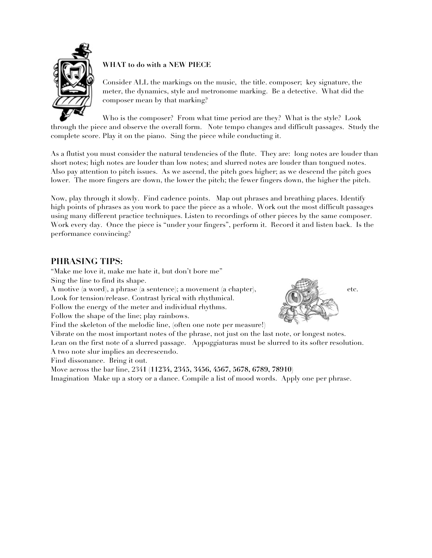

### **WHAT to do with a NEW PIECE**

Consider ALL the markings on the music, the title. composer; key signature, the meter, the dynamics, style and metronome marking. Be a detective. What did the composer mean by that marking?

Who is the composer? From what time period are they? What is the style? Look through the piece and observe the overall form. Note tempo changes and difficult passages. Study the complete score. Play it on the piano. Sing the piece while conducting it.

As a flutist you must consider the natural tendencies of the flute. They are: long notes are louder than short notes; high notes are louder than low notes; and slurred notes are louder than tongued notes. Also pay attention to pitch issues. As we ascend, the pitch goes higher; as we descend the pitch goes lower. The more fingers are down, the lower the pitch; the fewer fingers down, the higher the pitch.

Now, play through it slowly. Find cadence points. Map out phrases and breathing places. Identify high points of phrases as you work to pace the piece as a whole. Work out the most difficult passages using many different practice techniques. Listen to recordings of other pieces by the same composer. Work every day. Once the piece is "under your fingers", perform it. Record it and listen back. Is the performance convincing?

# **PHRASING TIPS:**

"Make me love it, make me hate it, but don't bore me" Sing the line to find its shape.

A motive (a word), a phrase (a sentence); a movement (a chapter), etc.

Look for tension/release. Contrast lyrical with rhythmical.

Follow the energy of the meter and individual rhythms.

Follow the shape of the line; play rainbows.

Find the skeleton of the melodic line, (often one note per measure!)

Vibrate on the most important notes of the phrase, not just on the last note, or longest notes. Lean on the first note of a slurred passage. Appoggiaturas must be slurred to its softer resolution.

A two note slur implies an decrescendo.

Find dissonance. Bring it out.

Move across the bar line, 234**1 (11234, 2345, 3456, 4567, 5678, 6789, 78910)**

Imagination Make up a story or a dance. Compile a list of mood words. Apply one per phrase.

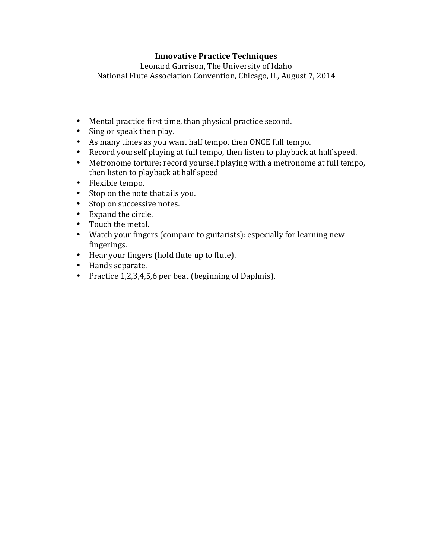# **Innovative Practice Techniques**

Leonard Garrison, The University of Idaho National Flute Association Convention, Chicago, IL, August 7, 2014

- Mental practice first time, than physical practice second.
- Sing or speak then play.
- As many times as you want half tempo, then ONCE full tempo.
- Record yourself playing at full tempo, then listen to playback at half speed.
- Metronome torture: record yourself playing with a metronome at full tempo, then listen to playback at half speed
- Flexible tempo.
- Stop on the note that ails you.
- Stop on successive notes.
- Expand the circle.
- Touch the metal.
- Watch your fingers (compare to guitarists): especially for learning new fingerings.
- Hear your fingers (hold flute up to flute).
- Hands separate.
- Practice 1,2,3,4,5,6 per beat (beginning of Daphnis).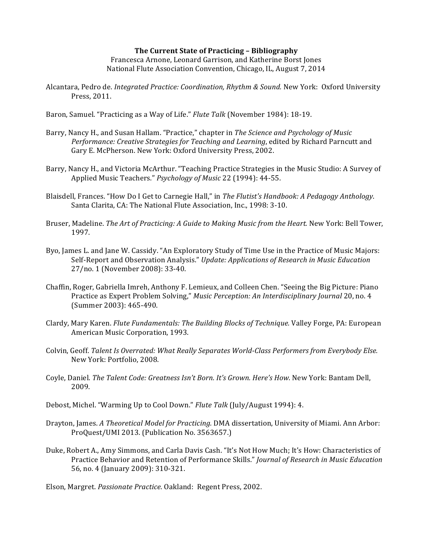#### **The Current State of Practicing – Bibliography** Francesca Arnone, Leonard Garrison, and Katherine Borst Jones National Flute Association Convention, Chicago, IL, August 7, 2014

Alcantara, Pedro de. *Integrated Practice: Coordination, Rhythm & Sound.* New York: Oxford University Press, 2011.

Baron, Samuel. "Practicing as a Way of Life." *Flute Talk* (November 1984): 18-19.

- Barry, Nancy H., and Susan Hallam. "Practice," chapter in *The Science and Psychology of Music* Performance: Creative Strategies for Teaching and Learning, edited by Richard Parncutt and Gary E. McPherson. New York: Oxford University Press, 2002.
- Barry, Nancy H., and Victoria McArthur. "Teaching Practice Strategies in the Music Studio: A Survey of Applied Music Teachers." *Psychology of Music* 22 (1994): 44-55.
- Blaisdell, Frances. "How Do I Get to Carnegie Hall," in *The Flutist's Handbook: A Pedagogy Anthology*. Santa Clarita, CA: The National Flute Association, Inc., 1998: 3-10.
- Bruser, Madeline. *The Art of Practicing: A Guide to Making Music from the Heart.* New York: Bell Tower, 1997.
- Byo, James L. and Jane W. Cassidy. "An Exploratory Study of Time Use in the Practice of Music Majors: Self-Report and Observation Analysis." Update: Applications of Research in Music Education 27/no. 1 (November 2008): 33-40.
- Chaffin, Roger, Gabriella Imreh, Anthony F. Lemieux, and Colleen Chen. "Seeing the Big Picture: Piano Practice as Expert Problem Solving," *Music Perception: An Interdisciplinary Journal* 20, no. 4 (Summer 2003): 465-490.
- Clardy, Mary Karen. *Flute Fundamentals: The Building Blocks of Technique.* Valley Forge, PA: European American Music Corporation, 1993.
- Colvin, Geoff. *Talent Is Overrated: What Really Separates World-Class Performers from Everybody Else.* New York: Portfolio, 2008.
- Coyle, Daniel. *The Talent Code: Greatness Isn't Born. It's Grown. Here's How.* New York: Bantam Dell, 2009.
- Debost, Michel. "Warming Up to Cool Down." *Flute Talk* (July/August 1994): 4.
- Drayton, James. A Theoretical Model for Practicing. DMA dissertation, University of Miami. Ann Arbor: ProQuest/UMI 2013. (Publication No. 3563657.)
- Duke, Robert A., Amy Simmons, and Carla Davis Cash. "It's Not How Much; It's How: Characteristics of Practice Behavior and Retention of Performance Skills." *Journal of Research in Music Education* 56, no. 4 (January 2009): 310-321.

Elson, Margret. *Passionate Practice.* Oakland: Regent Press, 2002.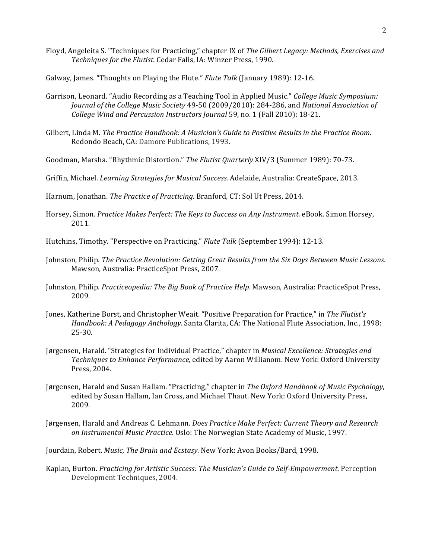Floyd, Angeleita S. "Techniques for Practicing," chapter IX of *The Gilbert Legacy: Methods, Exercises and* Techniques for the Flutist. Cedar Falls, IA: Winzer Press, 1990.

Galway, James. "Thoughts on Playing the Flute." *Flute Talk* (January 1989): 12-16.

- Garrison, Leonard. "Audio Recording as a Teaching Tool in Applied Music." *College Music Symposium: Journal of the College Music Society* 49-50 (2009/2010): 284-286, and *National Association of College Wind and Percussion Instructors Journal* 59, no. 1 (Fall 2010): 18-21.
- Gilbert, Linda M. The Practice Handbook: A Musician's Guide to Positive Results in the Practice Room. Redondo Beach, CA: Damore Publications, 1993.
- Goodman, Marsha. "Rhythmic Distortion." *The Flutist Quarterly* XIV/3 (Summer 1989): 70-73.
- Griffin, Michael. *Learning Strategies for Musical Success.* Adelaide, Australia: CreateSpace, 2013.

Harnum, Jonathan. *The Practice of Practicing*. Branford, CT: Sol Ut Press, 2014.

- Horsey, Simon. *Practice Makes Perfect: The Keys to Success on Any Instrument.* eBook. Simon Horsey, 2011.
- Hutchins, Timothy. "Perspective on Practicing." *Flute Talk* (September 1994): 12-13.
- Johnston, Philip. The Practice Revolution: Getting Great Results from the Six Days Between Music Lessons. Mawson, Australia: PracticeSpot Press, 2007.
- Johnston, Philip. Practiceopedia: The Big Book of Practice Help. Mawson, Australia: PracticeSpot Press, 2009.
- Jones, Katherine Borst, and Christopher Weait. "Positive Preparation for Practice," in *The Flutist's Handbook: A Pedagogy Anthology.* Santa Clarita, CA: The National Flute Association, Inc., 1998: 25-30.
- Jørgensen, Harald. "Strategies for Individual Practice," chapter in *Musical Excellence: Strategies and* Techniques to Enhance Performance, edited by Aaron Willianom. New York: Oxford University Press, 2004.
- Jørgensen, Harald and Susan Hallam. "Practicing," chapter in The Oxford Handbook of Music Psychology, edited by Susan Hallam, Ian Cross, and Michael Thaut. New York: Oxford University Press, 2009.
- Jørgensen, Harald and Andreas C. Lehmann. *Does Practice Make Perfect: Current Theory and Research on Instrumental Music Practice.* Oslo: The Norwegian State Academy of Music, 1997.
- Jourdain, Robert. *Music, The Brain and Ecstasy*. New York: Avon Books/Bard, 1998.
- Kaplan, Burton. *Practicing for Artistic Success: The Musician's Guide to Self-Empowerment.* Perception Development Techniques, 2004.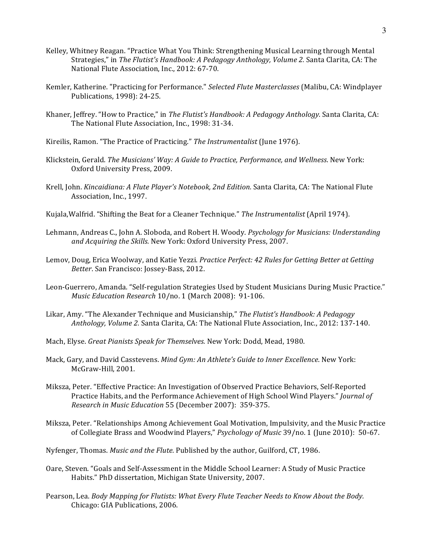- Kelley, Whitney Reagan. "Practice What You Think: Strengthening Musical Learning through Mental Strategies," in *The Flutist's Handbook: A Pedagogy Anthology, Volume 2.* Santa Clarita, CA: The National Flute Association, Inc., 2012: 67-70.
- Kemler, Katherine. "Practicing for Performance." *Selected Flute Masterclasses* (Malibu, CA: Windplayer Publications, 1998): 24-25.
- Khaner, Jeffrey. "How to Practice," in *The Flutist's Handbook: A Pedagogy Anthology*. Santa Clarita, CA: The National Flute Association, Inc., 1998: 31-34.
- Kireilis, Ramon. "The Practice of Practicing." The Instrumentalist (June 1976).
- Klickstein, Gerald. *The Musicians' Way: A Guide to Practice, Performance, and Wellness*. New York: Oxford University Press, 2009.
- Krell, John. *Kincaidiana: A Flute Player's Notebook, 2nd Edition.* Santa Clarita, CA: The National Flute Association, Inc., 1997.
- Kujala, Walfrid. "Shifting the Beat for a Cleaner Technique." *The Instrumentalist* (April 1974).
- Lehmann, Andreas C., John A. Sloboda, and Robert H. Woody. *Psychology for Musicians: Understanding* and *Acquiring the Skills.* New York: Oxford University Press, 2007.
- Lemov, Doug, Erica Woolway, and Katie Yezzi. *Practice Perfect: 42 Rules for Getting Better at Getting Better*. San Francisco: Jossey-Bass, 2012.
- Leon-Guerrero, Amanda. "Self-regulation Strategies Used by Student Musicians During Music Practice." *Music Education Research* 10/no. 1 (March 2008): 91-106.
- Likar, Amy. "The Alexander Technique and Musicianship," *The Flutist's Handbook: A Pedagogy Anthology, Volume 2.* Santa Clarita, CA: The National Flute Association, Inc., 2012: 137-140.
- Mach, Elyse. *Great Pianists Speak for Themselves.* New York: Dodd, Mead, 1980.
- Mack, Gary, and David Casstevens. *Mind Gym: An Athlete's Guide to Inner Excellence*. New York: McGraw-Hill, 2001.
- Miksza, Peter. "Effective Practice: An Investigation of Observed Practice Behaviors, Self-Reported Practice Habits, and the Performance Achievement of High School Wind Players." *Journal of Research in Music Education* 55 (December 2007): 359-375.
- Miksza, Peter. "Relationships Among Achievement Goal Motivation, Impulsivity, and the Music Practice of Collegiate Brass and Woodwind Players," *Psychology of Music* 39/no. 1 (June 2010): 50-67.
- Nyfenger, Thomas. *Music and the Flute*. Published by the author, Guilford, CT, 1986.
- Oare, Steven. "Goals and Self-Assessment in the Middle School Learner: A Study of Music Practice Habits." PhD dissertation, Michigan State University, 2007.
- Pearson, Lea. *Body Mapping for Flutists: What Every Flute Teacher Needs to Know About the Body.* Chicago: GIA Publications, 2006.